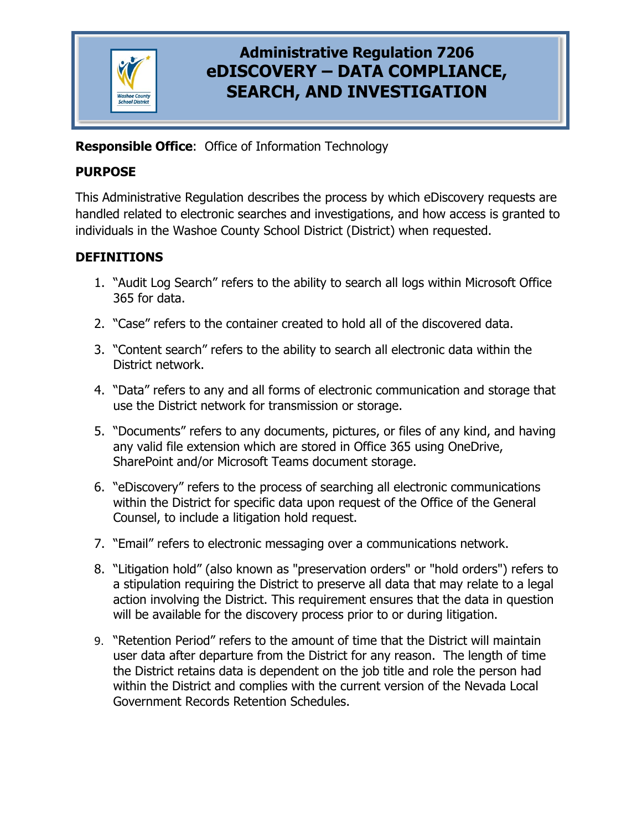

# **Administrative Regulation 7206 eDISCOVERY – DATA COMPLIANCE, SEARCH, AND INVESTIGATION**

**Responsible Office**: Office of Information Technology

### **PURPOSE**

This Administrative Regulation describes the process by which eDiscovery requests are handled related to electronic searches and investigations, and how access is granted to individuals in the Washoe County School District (District) when requested.

### **DEFINITIONS**

- 1. "Audit Log Search" refers to the ability to search all logs within Microsoft Office 365 for data.
- 2. "Case" refers to the container created to hold all of the discovered data.
- 3. "Content search" refers to the ability to search all electronic data within the District network.
- 4. "Data" refers to any and all forms of electronic communication and storage that use the District network for transmission or storage.
- 5. "Documents" refers to any documents, pictures, or files of any kind, and having any valid file extension which are stored in Office 365 using OneDrive, SharePoint and/or Microsoft Teams document storage.
- 6. "eDiscovery" refers to the process of searching all electronic communications within the District for specific data upon request of the Office of the General Counsel, to include a litigation hold request.
- 7. "Email" refers to electronic messaging over a communications network.
- 8. "Litigation hold" (also known as "preservation orders" or "hold orders") refers to a stipulation requiring the District to preserve all data that may relate to a legal action involving the District. This requirement ensures that the data in question will be available for the discovery process prior to or during litigation.
- 9. "Retention Period" refers to the amount of time that the District will maintain user data after departure from the District for any reason. The length of time the District retains data is dependent on the job title and role the person had within the District and complies with the current version of the Nevada Local Government Records Retention Schedules.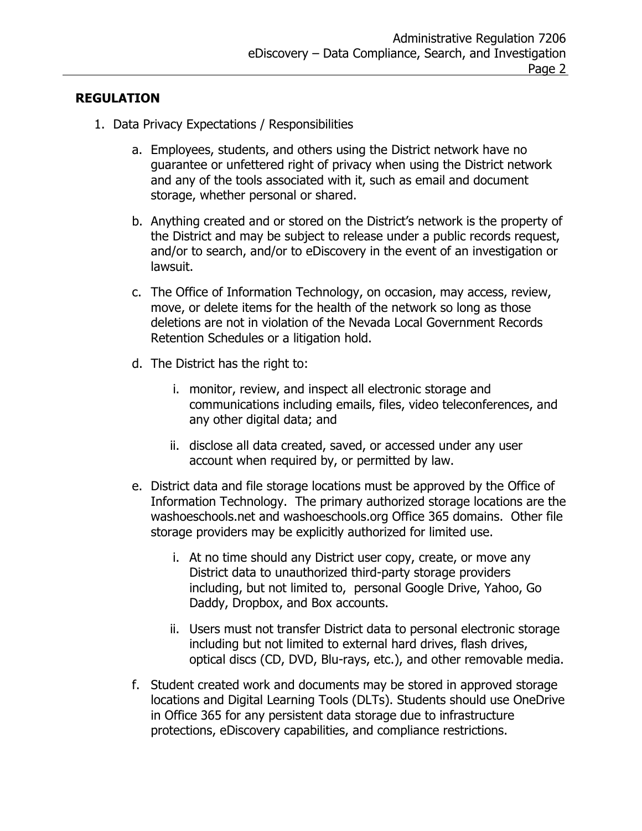#### **REGULATION**

- 1. Data Privacy Expectations / Responsibilities
	- a. Employees, students, and others using the District network have no guarantee or unfettered right of privacy when using the District network and any of the tools associated with it, such as email and document storage, whether personal or shared.
	- b. Anything created and or stored on the District's network is the property of the District and may be subject to release under a public records request, and/or to search, and/or to eDiscovery in the event of an investigation or lawsuit.
	- c. The Office of Information Technology, on occasion, may access, review, move, or delete items for the health of the network so long as those deletions are not in violation of the Nevada Local Government Records Retention Schedules or a litigation hold.
	- d. The District has the right to:
		- i. monitor, review, and inspect all electronic storage and communications including emails, files, video teleconferences, and any other digital data; and
		- ii. disclose all data created, saved, or accessed under any user account when required by, or permitted by law.
	- e. District data and file storage locations must be approved by the Office of Information Technology. The primary authorized storage locations are the washoeschools.net and washoeschools.org Office 365 domains. Other file storage providers may be explicitly authorized for limited use.
		- i. At no time should any District user copy, create, or move any District data to unauthorized third-party storage providers including, but not limited to, personal Google Drive, Yahoo, Go Daddy, Dropbox, and Box accounts.
		- ii. Users must not transfer District data to personal electronic storage including but not limited to external hard drives, flash drives, optical discs (CD, DVD, Blu-rays, etc.), and other removable media.
	- f. Student created work and documents may be stored in approved storage locations and Digital Learning Tools (DLTs). Students should use OneDrive in Office 365 for any persistent data storage due to infrastructure protections, eDiscovery capabilities, and compliance restrictions.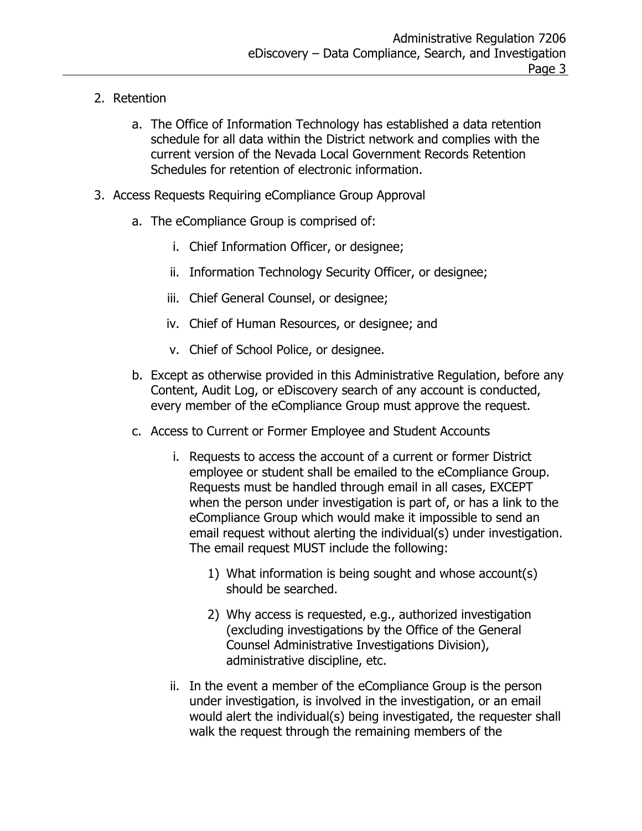- 2. Retention
	- a. The Office of Information Technology has established a data retention schedule for all data within the District network and complies with the current version of the Nevada Local Government Records Retention Schedules for retention of electronic information.
- 3. Access Requests Requiring eCompliance Group Approval
	- a. The eCompliance Group is comprised of:
		- i. Chief Information Officer, or designee;
		- ii. Information Technology Security Officer, or designee;
		- iii. Chief General Counsel, or designee;
		- iv. Chief of Human Resources, or designee; and
		- v. Chief of School Police, or designee.
	- b. Except as otherwise provided in this Administrative Regulation, before any Content, Audit Log, or eDiscovery search of any account is conducted, every member of the eCompliance Group must approve the request.
	- c. Access to Current or Former Employee and Student Accounts
		- i. Requests to access the account of a current or former District employee or student shall be emailed to the eCompliance Group. Requests must be handled through email in all cases, EXCEPT when the person under investigation is part of, or has a link to the eCompliance Group which would make it impossible to send an email request without alerting the individual(s) under investigation. The email request MUST include the following:
			- 1) What information is being sought and whose account(s) should be searched.
			- 2) Why access is requested, e.g., authorized investigation (excluding investigations by the Office of the General Counsel Administrative Investigations Division), administrative discipline, etc.
		- ii. In the event a member of the eCompliance Group is the person under investigation, is involved in the investigation, or an email would alert the individual(s) being investigated, the requester shall walk the request through the remaining members of the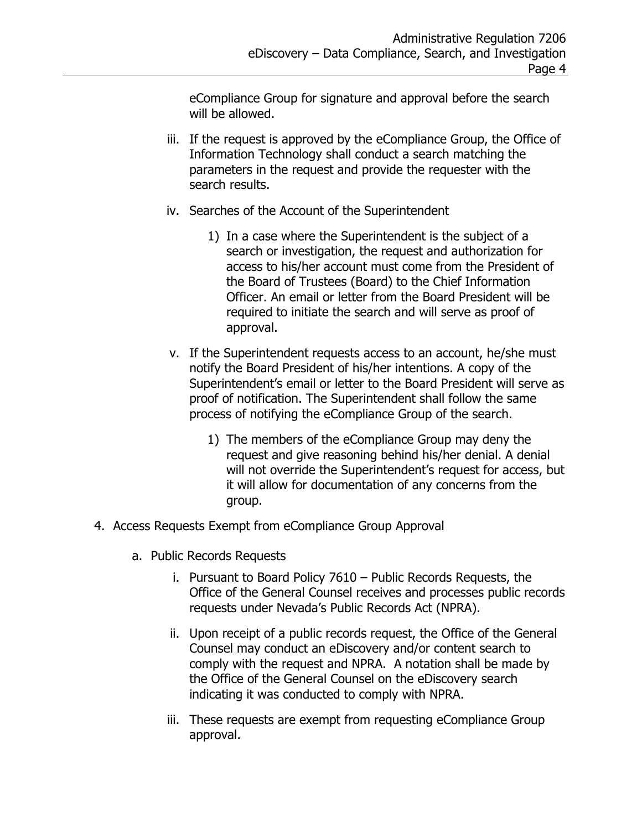eCompliance Group for signature and approval before the search will be allowed.

- iii. If the request is approved by the eCompliance Group, the Office of Information Technology shall conduct a search matching the parameters in the request and provide the requester with the search results.
- iv. Searches of the Account of the Superintendent
	- 1) In a case where the Superintendent is the subject of a search or investigation, the request and authorization for access to his/her account must come from the President of the Board of Trustees (Board) to the Chief Information Officer. An email or letter from the Board President will be required to initiate the search and will serve as proof of approval.
- v. If the Superintendent requests access to an account, he/she must notify the Board President of his/her intentions. A copy of the Superintendent's email or letter to the Board President will serve as proof of notification. The Superintendent shall follow the same process of notifying the eCompliance Group of the search.
	- 1) The members of the eCompliance Group may deny the request and give reasoning behind his/her denial. A denial will not override the Superintendent's request for access, but it will allow for documentation of any concerns from the group.
- 4. Access Requests Exempt from eCompliance Group Approval
	- a. Public Records Requests
		- i. Pursuant to Board Policy 7610 Public Records Requests, the Office of the General Counsel receives and processes public records requests under Nevada's Public Records Act (NPRA).
		- ii. Upon receipt of a public records request, the Office of the General Counsel may conduct an eDiscovery and/or content search to comply with the request and NPRA. A notation shall be made by the Office of the General Counsel on the eDiscovery search indicating it was conducted to comply with NPRA.
		- iii. These requests are exempt from requesting eCompliance Group approval.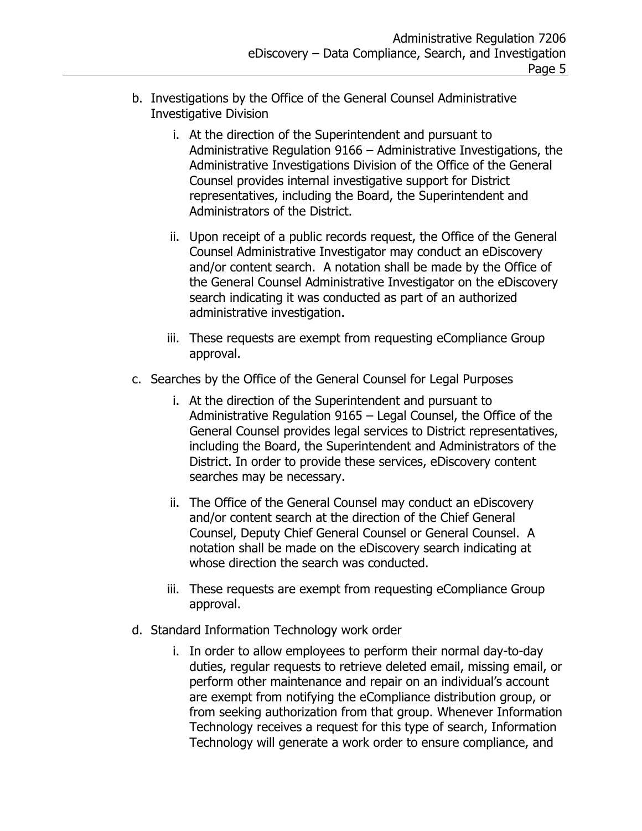- b. Investigations by the Office of the General Counsel Administrative Investigative Division
	- i. At the direction of the Superintendent and pursuant to Administrative Regulation 9166 – Administrative Investigations, the Administrative Investigations Division of the Office of the General Counsel provides internal investigative support for District representatives, including the Board, the Superintendent and Administrators of the District.
	- ii. Upon receipt of a public records request, the Office of the General Counsel Administrative Investigator may conduct an eDiscovery and/or content search. A notation shall be made by the Office of the General Counsel Administrative Investigator on the eDiscovery search indicating it was conducted as part of an authorized administrative investigation.
	- iii. These requests are exempt from requesting eCompliance Group approval.
- c. Searches by the Office of the General Counsel for Legal Purposes
	- i. At the direction of the Superintendent and pursuant to Administrative Regulation 9165 – Legal Counsel, the Office of the General Counsel provides legal services to District representatives, including the Board, the Superintendent and Administrators of the District. In order to provide these services, eDiscovery content searches may be necessary.
	- ii. The Office of the General Counsel may conduct an eDiscovery and/or content search at the direction of the Chief General Counsel, Deputy Chief General Counsel or General Counsel. A notation shall be made on the eDiscovery search indicating at whose direction the search was conducted.
	- iii. These requests are exempt from requesting eCompliance Group approval.
- d. Standard Information Technology work order
	- i. In order to allow employees to perform their normal day-to-day duties, regular requests to retrieve deleted email, missing email, or perform other maintenance and repair on an individual's account are exempt from notifying the eCompliance distribution group, or from seeking authorization from that group. Whenever Information Technology receives a request for this type of search, Information Technology will generate a work order to ensure compliance, and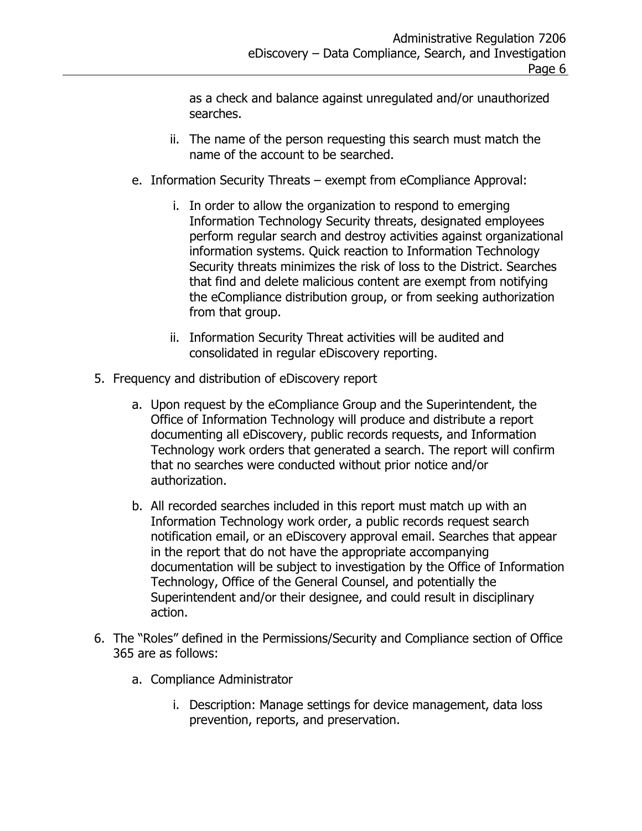as a check and balance against unregulated and/or unauthorized searches.

- ii. The name of the person requesting this search must match the name of the account to be searched.
- e. Information Security Threats exempt from eCompliance Approval:
	- i. In order to allow the organization to respond to emerging Information Technology Security threats, designated employees perform regular search and destroy activities against organizational information systems. Quick reaction to Information Technology Security threats minimizes the risk of loss to the District. Searches that find and delete malicious content are exempt from notifying the eCompliance distribution group, or from seeking authorization from that group.
	- ii. Information Security Threat activities will be audited and consolidated in regular eDiscovery reporting.
- 5. Frequency and distribution of eDiscovery report
	- a. Upon request by the eCompliance Group and the Superintendent, the Office of Information Technology will produce and distribute a report documenting all eDiscovery, public records requests, and Information Technology work orders that generated a search. The report will confirm that no searches were conducted without prior notice and/or authorization.
	- b. All recorded searches included in this report must match up with an Information Technology work order, a public records request search notification email, or an eDiscovery approval email. Searches that appear in the report that do not have the appropriate accompanying documentation will be subject to investigation by the Office of Information Technology, Office of the General Counsel, and potentially the Superintendent and/or their designee, and could result in disciplinary action.
- 6. The "Roles" defined in the Permissions/Security and Compliance section of Office 365 are as follows:
	- a. Compliance Administrator
		- i. Description: Manage settings for device management, data loss prevention, reports, and preservation.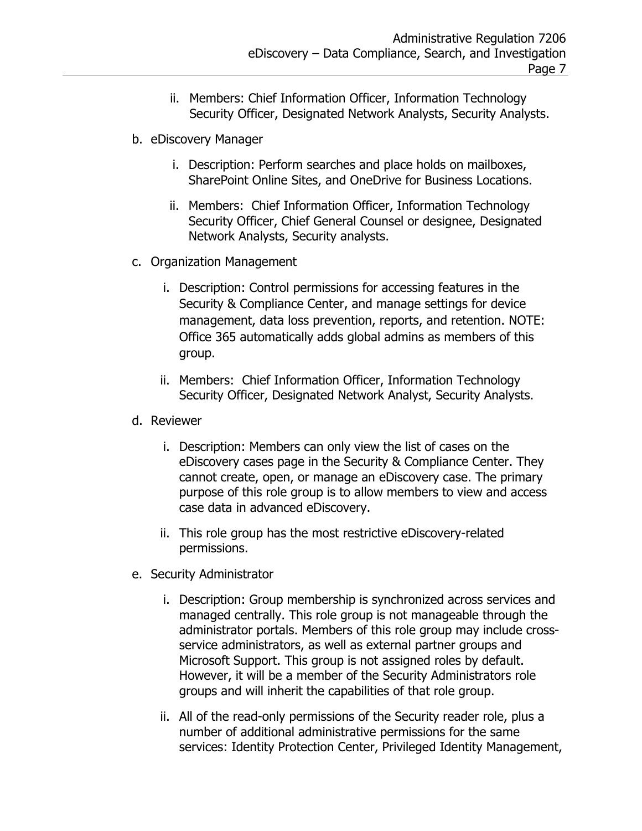- ii. Members: Chief Information Officer, Information Technology Security Officer, Designated Network Analysts, Security Analysts.
- b. eDiscovery Manager
	- i. Description: Perform searches and place holds on mailboxes, SharePoint Online Sites, and OneDrive for Business Locations.
	- ii. Members: Chief Information Officer, Information Technology Security Officer, Chief General Counsel or designee, Designated Network Analysts, Security analysts.
- c. Organization Management
	- i. Description: Control permissions for accessing features in the Security & Compliance Center, and manage settings for device management, data loss prevention, reports, and retention. NOTE: Office 365 automatically adds global admins as members of this group.
	- ii. Members: Chief Information Officer, Information Technology Security Officer, Designated Network Analyst, Security Analysts.
- d. Reviewer
	- i. Description: Members can only view the list of cases on the eDiscovery cases page in the Security & Compliance Center. They cannot create, open, or manage an eDiscovery case. The primary purpose of this role group is to allow members to view and access case data in advanced eDiscovery.
	- ii. This role group has the most restrictive eDiscovery-related permissions.
- e. Security Administrator
	- i. Description: Group membership is synchronized across services and managed centrally. This role group is not manageable through the administrator portals. Members of this role group may include crossservice administrators, as well as external partner groups and Microsoft Support. This group is not assigned roles by default. However, it will be a member of the Security Administrators role groups and will inherit the capabilities of that role group.
	- ii. All of the read-only permissions of the Security reader role, plus a number of additional administrative permissions for the same services: Identity Protection Center, Privileged Identity Management,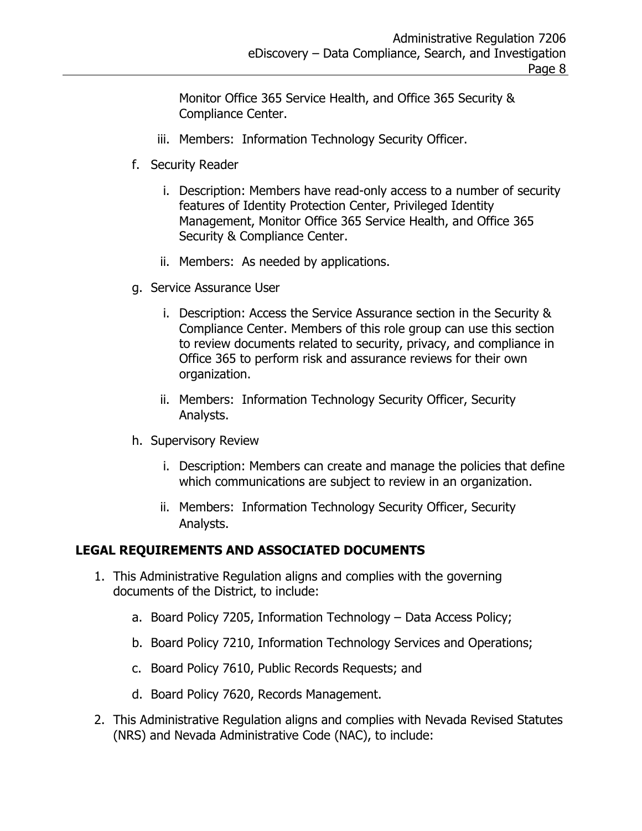Monitor Office 365 Service Health, and Office 365 Security & Compliance Center.

- iii. Members: Information Technology Security Officer.
- f. Security Reader
	- i. Description: Members have read-only access to a number of security features of Identity Protection Center, Privileged Identity Management, Monitor Office 365 Service Health, and Office 365 Security & Compliance Center.
	- ii. Members: As needed by applications.
- g. Service Assurance User
	- i. Description: Access the Service Assurance section in the Security & Compliance Center. Members of this role group can use this section to review documents related to security, privacy, and compliance in Office 365 to perform risk and assurance reviews for their own organization.
	- ii. Members: Information Technology Security Officer, Security Analysts.
- h. Supervisory Review
	- i. Description: Members can create and manage the policies that define which communications are subject to review in an organization.
	- ii. Members: Information Technology Security Officer, Security Analysts.

### **LEGAL REQUIREMENTS AND ASSOCIATED DOCUMENTS**

- 1. This Administrative Regulation aligns and complies with the governing documents of the District, to include:
	- a. Board Policy 7205, Information Technology Data Access Policy;
	- b. Board Policy 7210, Information Technology Services and Operations;
	- c. Board Policy 7610, Public Records Requests; and
	- d. Board Policy 7620, Records Management.
- 2. This Administrative Regulation aligns and complies with Nevada Revised Statutes (NRS) and Nevada Administrative Code (NAC), to include: